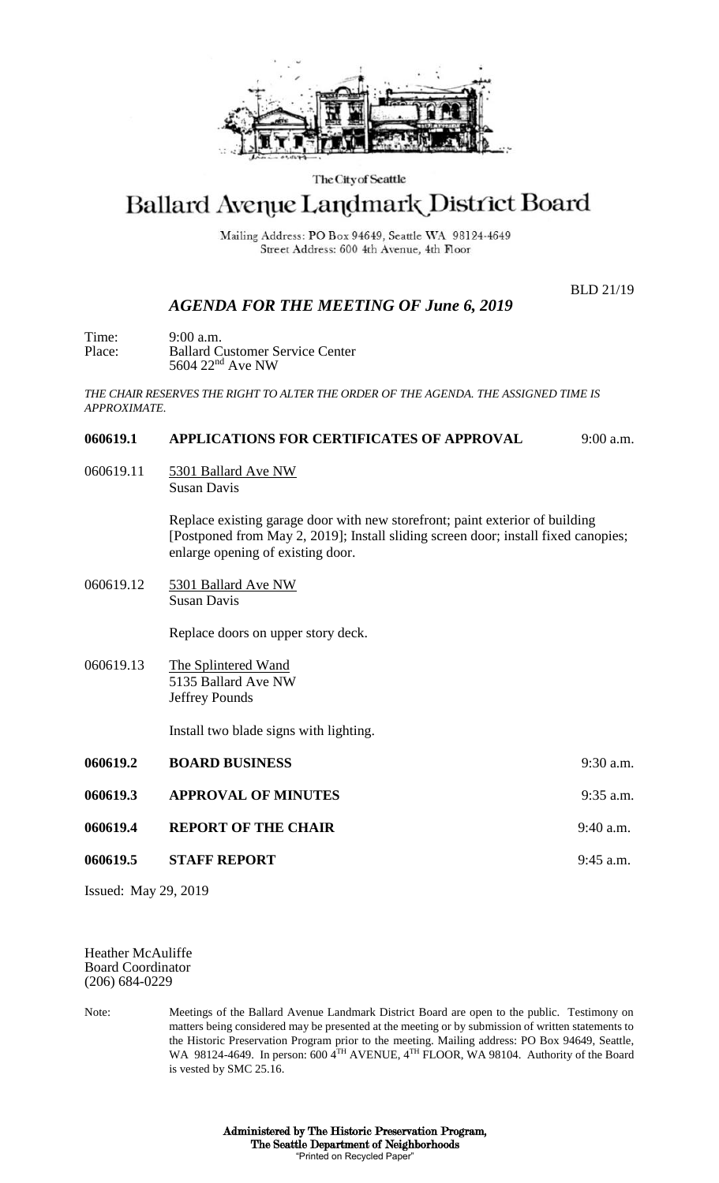

#### The City of Seattle

# Ballard Avenue Landmark District Board

Mailing Address: PO Box 94649, Seattle WA 98124-4649 Street Address: 600 4th Avenue, 4th Floor

BLD 21/19

## *AGENDA FOR THE MEETING OF June 6, 2019*

Time: 9:00 a.m. Place: Ballard Customer Service Center 5604 22nd Ave NW

*THE CHAIR RESERVES THE RIGHT TO ALTER THE ORDER OF THE AGENDA. THE ASSIGNED TIME IS APPROXIMATE.*

#### **060619.1 APPLICATIONS FOR CERTIFICATES OF APPROVAL** 9:00 a.m.

060619.11 5301 Ballard Ave NW Susan Davis

> Replace existing garage door with new storefront; paint exterior of building [Postponed from May 2, 2019]; Install sliding screen door; install fixed canopies; enlarge opening of existing door.

060619.12 5301 Ballard Ave NW Susan Davis

Replace doors on upper story deck.

060619.13 The Splintered Wand 5135 Ballard Ave NW Jeffrey Pounds

Install two blade signs with lighting.

| 060619.2 | <b>BOARD BUSINESS</b>      | $9:30$ a.m. |
|----------|----------------------------|-------------|
| 060619.3 | <b>APPROVAL OF MINUTES</b> | $9:35$ a.m. |
| 060619.4 | <b>REPORT OF THE CHAIR</b> | $9:40$ a.m. |
| 060619.5 | <b>STAFF REPORT</b>        | $9:45$ a.m. |
|          |                            |             |

Issued: May 29, 2019

Heather McAuliffe Board Coordinator (206) 684-0229

Note: Meetings of the Ballard Avenue Landmark District Board are open to the public. Testimony on matters being considered may be presented at the meeting or by submission of written statements to the Historic Preservation Program prior to the meeting. Mailing address: PO Box 94649, Seattle, WA 98124-4649. In person: 600 4TH AVENUE, 4TH FLOOR, WA 98104. Authority of the Board is vested by SMC 25.16.